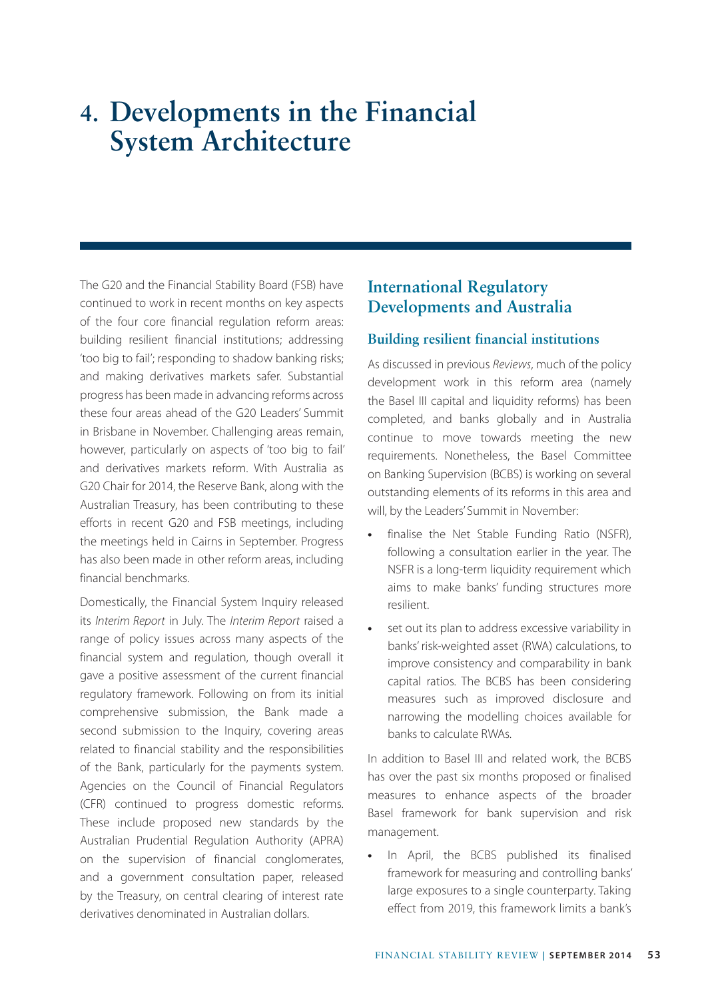# **4. Developments in the Financial System Architecture**

The G20 and the Financial Stability Board (FSB) have continued to work in recent months on key aspects of the four core financial regulation reform areas: building resilient financial institutions; addressing 'too big to fail'; responding to shadow banking risks; and making derivatives markets safer. Substantial progress has been made in advancing reforms across these four areas ahead of the G20 Leaders' Summit in Brisbane in November. Challenging areas remain, however, particularly on aspects of 'too big to fail' and derivatives markets reform. With Australia as G20 Chair for 2014, the Reserve Bank, along with the Australian Treasury, has been contributing to these efforts in recent G20 and FSB meetings, including the meetings held in Cairns in September. Progress has also been made in other reform areas, including financial benchmarks.

Domestically, the Financial System Inquiry released its *Interim Report* in July. The *Interim Report* raised a range of policy issues across many aspects of the financial system and regulation, though overall it gave a positive assessment of the current financial regulatory framework. Following on from its initial comprehensive submission, the Bank made a second submission to the Inquiry, covering areas related to financial stability and the responsibilities of the Bank, particularly for the payments system. Agencies on the Council of Financial Regulators (CFR) continued to progress domestic reforms. These include proposed new standards by the Australian Prudential Regulation Authority (APRA) on the supervision of financial conglomerates, and a government consultation paper, released by the Treasury, on central clearing of interest rate derivatives denominated in Australian dollars.

## **International Regulatory Developments and Australia**

### **Building resilient financial institutions**

As discussed in previous *Reviews*, much of the policy development work in this reform area (namely the Basel III capital and liquidity reforms) has been completed, and banks globally and in Australia continue to move towards meeting the new requirements. Nonetheless, the Basel Committee on Banking Supervision (BCBS) is working on several outstanding elements of its reforms in this area and will, by the Leaders' Summit in November:

- **•** finalise the Net Stable Funding Ratio (NSFR), following a consultation earlier in the year. The NSFR is a long-term liquidity requirement which aims to make banks' funding structures more resilient.
- **•** set out its plan to address excessive variability in banks' risk-weighted asset (RWA) calculations, to improve consistency and comparability in bank capital ratios. The BCBS has been considering measures such as improved disclosure and narrowing the modelling choices available for banks to calculate RWAs.

In addition to Basel III and related work, the BCBS has over the past six months proposed or finalised measures to enhance aspects of the broader Basel framework for bank supervision and risk management.

**•** In April, the BCBS published its finalised framework for measuring and controlling banks' large exposures to a single counterparty. Taking effect from 2019, this framework limits a bank's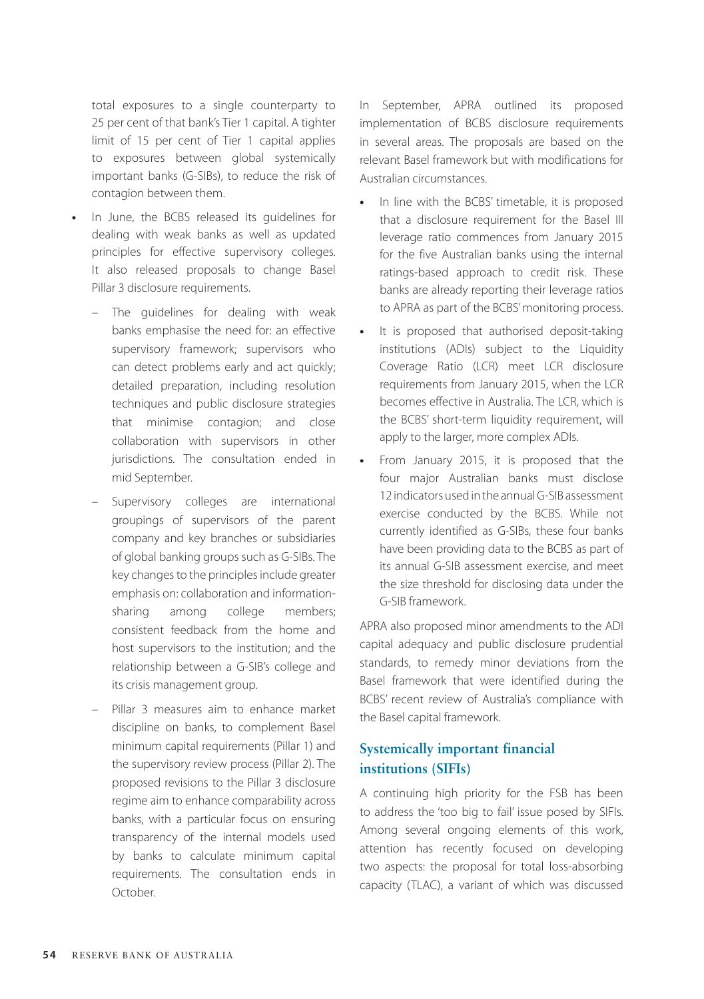total exposures to a single counterparty to 25 per cent of that bank's Tier 1 capital. A tighter limit of 15 per cent of Tier 1 capital applies to exposures between global systemically important banks (G-SIBs), to reduce the risk of contagion between them.

- **•** In June, the BCBS released its guidelines for dealing with weak banks as well as updated principles for effective supervisory colleges. It also released proposals to change Basel Pillar 3 disclosure requirements.
	- The guidelines for dealing with weak banks emphasise the need for: an effective supervisory framework; supervisors who can detect problems early and act quickly; detailed preparation, including resolution techniques and public disclosure strategies that minimise contagion; and close collaboration with supervisors in other jurisdictions. The consultation ended in mid September.
	- Supervisory colleges are international groupings of supervisors of the parent company and key branches or subsidiaries of global banking groups such as G-SIBs. The key changes to the principles include greater emphasis on: collaboration and informationsharing among college members; consistent feedback from the home and host supervisors to the institution; and the relationship between a G-SIB's college and its crisis management group.
	- Pillar 3 measures aim to enhance market discipline on banks, to complement Basel minimum capital requirements (Pillar 1) and the supervisory review process (Pillar 2). The proposed revisions to the Pillar 3 disclosure regime aim to enhance comparability across banks, with a particular focus on ensuring transparency of the internal models used by banks to calculate minimum capital requirements. The consultation ends in October.

In September, APRA outlined its proposed implementation of BCBS disclosure requirements in several areas. The proposals are based on the relevant Basel framework but with modifications for Australian circumstances.

- **•** In line with the BCBS' timetable, it is proposed that a disclosure requirement for the Basel III leverage ratio commences from January 2015 for the five Australian banks using the internal ratings-based approach to credit risk. These banks are already reporting their leverage ratios to APRA as part of the BCBS' monitoring process.
- **•** It is proposed that authorised deposit-taking institutions (ADIs) subject to the Liquidity Coverage Ratio (LCR) meet LCR disclosure requirements from January 2015, when the LCR becomes effective in Australia. The LCR, which is the BCBS' short-term liquidity requirement, will apply to the larger, more complex ADIs.
- **•** From January 2015, it is proposed that the four major Australian banks must disclose 12 indicators used in the annual G-SIB assessment exercise conducted by the BCBS. While not currently identified as G-SIBs, these four banks have been providing data to the BCBS as part of its annual G-SIB assessment exercise, and meet the size threshold for disclosing data under the G-SIB framework.

APRA also proposed minor amendments to the ADI capital adequacy and public disclosure prudential standards, to remedy minor deviations from the Basel framework that were identified during the BCBS' recent review of Australia's compliance with the Basel capital framework.

## **Systemically important financial institutions (SIFIs)**

A continuing high priority for the FSB has been to address the 'too big to fail' issue posed by SIFIs. Among several ongoing elements of this work, attention has recently focused on developing two aspects: the proposal for total loss-absorbing capacity (TLAC), a variant of which was discussed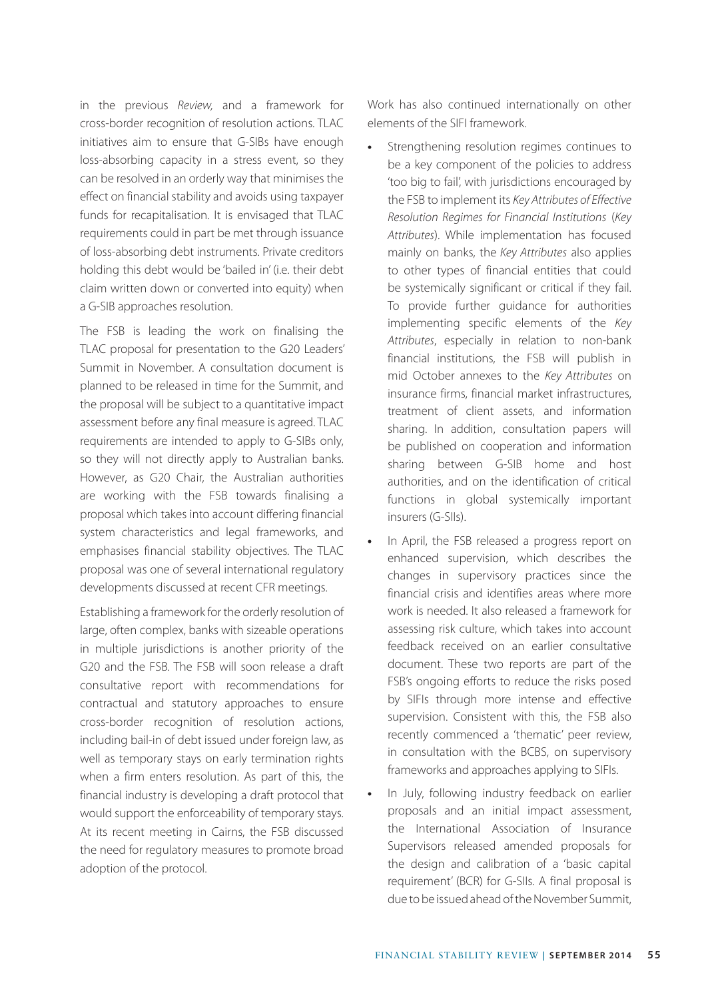in the previous *Review,* and a framework for cross-border recognition of resolution actions. TLAC initiatives aim to ensure that G-SIBs have enough loss-absorbing capacity in a stress event, so they can be resolved in an orderly way that minimises the effect on financial stability and avoids using taxpayer funds for recapitalisation. It is envisaged that TLAC requirements could in part be met through issuance of loss-absorbing debt instruments. Private creditors holding this debt would be 'bailed in' (i.e. their debt claim written down or converted into equity) when a G-SIB approaches resolution.

The FSB is leading the work on finalising the TLAC proposal for presentation to the G20 Leaders' Summit in November. A consultation document is planned to be released in time for the Summit, and the proposal will be subject to a quantitative impact assessment before any final measure is agreed. TLAC requirements are intended to apply to G-SIBs only, so they will not directly apply to Australian banks. However, as G20 Chair, the Australian authorities are working with the FSB towards finalising a proposal which takes into account differing financial system characteristics and legal frameworks, and emphasises financial stability objectives. The TLAC proposal was one of several international regulatory developments discussed at recent CFR meetings.

Establishing a framework for the orderly resolution of large, often complex, banks with sizeable operations in multiple jurisdictions is another priority of the G20 and the FSB. The FSB will soon release a draft consultative report with recommendations for contractual and statutory approaches to ensure cross-border recognition of resolution actions, including bail-in of debt issued under foreign law, as well as temporary stays on early termination rights when a firm enters resolution. As part of this, the financial industry is developing a draft protocol that would support the enforceability of temporary stays. At its recent meeting in Cairns, the FSB discussed the need for regulatory measures to promote broad adoption of the protocol.

Work has also continued internationally on other elements of the SIFI framework.

- **•** Strengthening resolution regimes continues to be a key component of the policies to address 'too big to fail', with jurisdictions encouraged by the FSB to implement its *Key Attributes of Effective Resolution Regimes for Financial Institutions* (*Key Attributes*). While implementation has focused mainly on banks, the *Key Attributes* also applies to other types of financial entities that could be systemically significant or critical if they fail. To provide further guidance for authorities implementing specific elements of the *Key Attributes*, especially in relation to non-bank financial institutions, the FSB will publish in mid October annexes to the *Key Attributes* on insurance firms, financial market infrastructures, treatment of client assets, and information sharing. In addition, consultation papers will be published on cooperation and information sharing between G-SIB home and host authorities, and on the identification of critical functions in global systemically important insurers (G-SIIs).
- **•** In April, the FSB released a progress report on enhanced supervision, which describes the changes in supervisory practices since the financial crisis and identifies areas where more work is needed. It also released a framework for assessing risk culture, which takes into account feedback received on an earlier consultative document. These two reports are part of the FSB's ongoing efforts to reduce the risks posed by SIFIs through more intense and effective supervision. Consistent with this, the FSB also recently commenced a 'thematic' peer review, in consultation with the BCBS, on supervisory frameworks and approaches applying to SIFIs.
- **•** In July, following industry feedback on earlier proposals and an initial impact assessment, the International Association of Insurance Supervisors released amended proposals for the design and calibration of a 'basic capital requirement' (BCR) for G-SIIs. A final proposal is due to be issued ahead of the November Summit,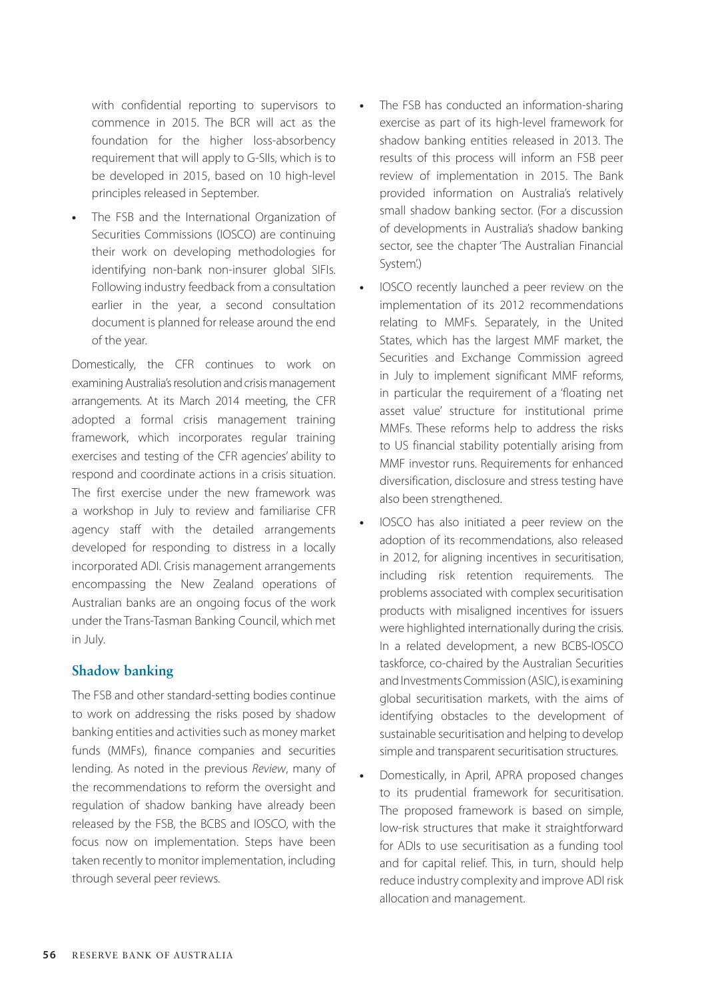with confidential reporting to supervisors to commence in 2015. The BCR will act as the foundation for the higher loss-absorbency requirement that will apply to G-SIIs, which is to be developed in 2015, based on 10 high-level principles released in September.

**•** The FSB and the International Organization of Securities Commissions (IOSCO) are continuing their work on developing methodologies for identifying non-bank non-insurer global SIFIs. Following industry feedback from a consultation earlier in the year, a second consultation document is planned for release around the end of the year.

Domestically, the CFR continues to work on examining Australia's resolution and crisis management arrangements. At its March 2014 meeting, the CFR adopted a formal crisis management training framework, which incorporates regular training exercises and testing of the CFR agencies' ability to respond and coordinate actions in a crisis situation. The first exercise under the new framework was a workshop in July to review and familiarise CFR agency staff with the detailed arrangements developed for responding to distress in a locally incorporated ADI. Crisis management arrangements encompassing the New Zealand operations of Australian banks are an ongoing focus of the work under the Trans-Tasman Banking Council, which met in July.

#### **Shadow banking**

The FSB and other standard-setting bodies continue to work on addressing the risks posed by shadow banking entities and activities such as money market funds (MMFs), finance companies and securities lending. As noted in the previous *Review*, many of the recommendations to reform the oversight and regulation of shadow banking have already been released by the FSB, the BCBS and IOSCO, with the focus now on implementation. Steps have been taken recently to monitor implementation, including through several peer reviews.

- **•** The FSB has conducted an information-sharing exercise as part of its high-level framework for shadow banking entities released in 2013. The results of this process will inform an FSB peer review of implementation in 2015. The Bank provided information on Australia's relatively small shadow banking sector. (For a discussion of developments in Australia's shadow banking sector, see the chapter 'The Australian Financial System'.)
- **•** IOSCO recently launched a peer review on the implementation of its 2012 recommendations relating to MMFs. Separately, in the United States, which has the largest MMF market, the Securities and Exchange Commission agreed in July to implement significant MMF reforms, in particular the requirement of a 'floating net asset value' structure for institutional prime MMFs. These reforms help to address the risks to US financial stability potentially arising from MMF investor runs. Requirements for enhanced diversification, disclosure and stress testing have also been strengthened.
- **•** IOSCO has also initiated a peer review on the adoption of its recommendations, also released in 2012, for aligning incentives in securitisation, including risk retention requirements. The problems associated with complex securitisation products with misaligned incentives for issuers were highlighted internationally during the crisis. In a related development, a new BCBS-IOSCO taskforce, co-chaired by the Australian Securities and Investments Commission (ASIC), is examining global securitisation markets, with the aims of identifying obstacles to the development of sustainable securitisation and helping to develop simple and transparent securitisation structures.
- **•** Domestically, in April, APRA proposed changes to its prudential framework for securitisation. The proposed framework is based on simple, low-risk structures that make it straightforward for ADIs to use securitisation as a funding tool and for capital relief. This, in turn, should help reduce industry complexity and improve ADI risk allocation and management.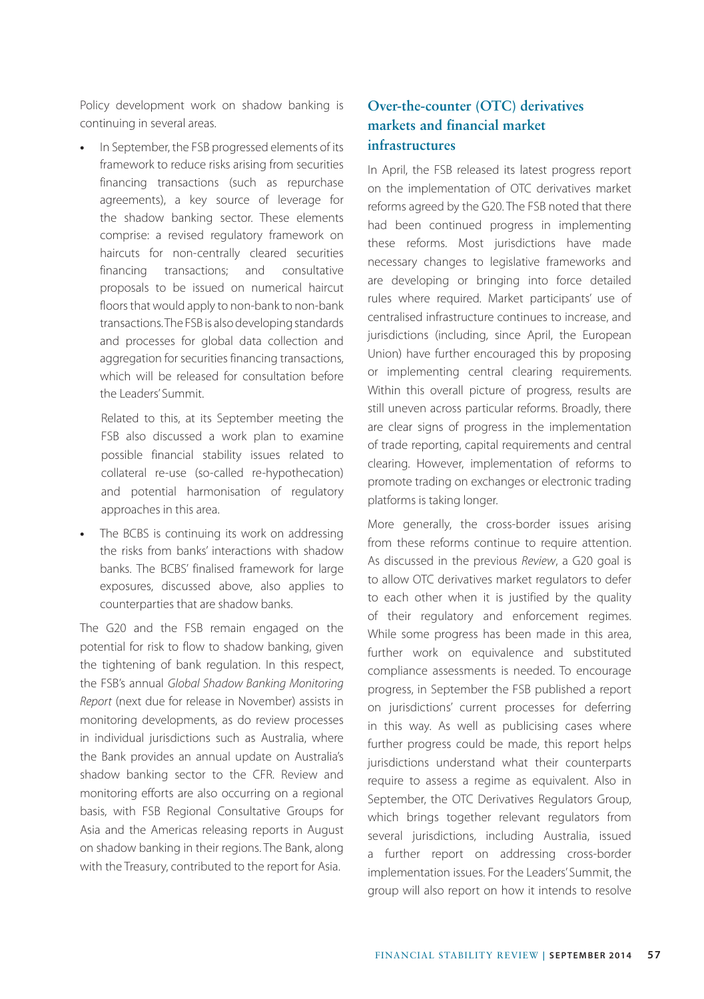Policy development work on shadow banking is continuing in several areas.

**•** In September, the FSB progressed elements of its framework to reduce risks arising from securities financing transactions (such as repurchase agreements), a key source of leverage for the shadow banking sector. These elements comprise: a revised regulatory framework on haircuts for non-centrally cleared securities financing transactions; and consultative proposals to be issued on numerical haircut floors that would apply to non-bank to non-bank transactions. The FSB is also developing standards and processes for global data collection and aggregation for securities financing transactions, which will be released for consultation before the Leaders' Summit.

 Related to this, at its September meeting the FSB also discussed a work plan to examine possible financial stability issues related to collateral re-use (so-called re-hypothecation) and potential harmonisation of regulatory approaches in this area.

**•** The BCBS is continuing its work on addressing the risks from banks' interactions with shadow banks. The BCBS' finalised framework for large exposures, discussed above, also applies to counterparties that are shadow banks.

The G20 and the FSB remain engaged on the potential for risk to flow to shadow banking, given the tightening of bank regulation. In this respect, the FSB's annual *Global Shadow Banking Monitoring Report* (next due for release in November) assists in monitoring developments, as do review processes in individual jurisdictions such as Australia, where the Bank provides an annual update on Australia's shadow banking sector to the CFR. Review and monitoring efforts are also occurring on a regional basis, with FSB Regional Consultative Groups for Asia and the Americas releasing reports in August on shadow banking in their regions. The Bank, along with the Treasury, contributed to the report for Asia.

## **Over-the-counter (OTC) derivatives markets and financial market infrastructures**

In April, the FSB released its latest progress report on the implementation of OTC derivatives market reforms agreed by the G20. The FSB noted that there had been continued progress in implementing these reforms. Most jurisdictions have made necessary changes to legislative frameworks and are developing or bringing into force detailed rules where required. Market participants' use of centralised infrastructure continues to increase, and jurisdictions (including, since April, the European Union) have further encouraged this by proposing or implementing central clearing requirements. Within this overall picture of progress, results are still uneven across particular reforms. Broadly, there are clear signs of progress in the implementation of trade reporting, capital requirements and central clearing. However, implementation of reforms to promote trading on exchanges or electronic trading platforms is taking longer.

More generally, the cross-border issues arising from these reforms continue to require attention. As discussed in the previous *Review*, a G20 goal is to allow OTC derivatives market regulators to defer to each other when it is justified by the quality of their regulatory and enforcement regimes. While some progress has been made in this area, further work on equivalence and substituted compliance assessments is needed. To encourage progress, in September the FSB published a report on jurisdictions' current processes for deferring in this way. As well as publicising cases where further progress could be made, this report helps jurisdictions understand what their counterparts require to assess a regime as equivalent. Also in September, the OTC Derivatives Regulators Group, which brings together relevant regulators from several jurisdictions, including Australia, issued a further report on addressing cross-border implementation issues. For the Leaders' Summit, the group will also report on how it intends to resolve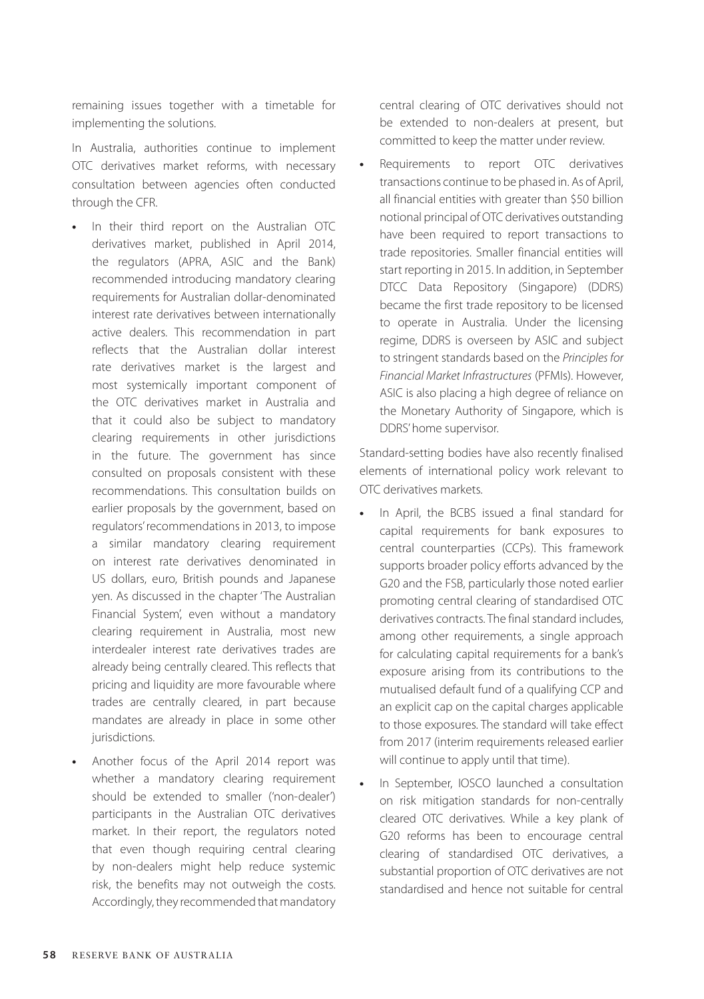remaining issues together with a timetable for implementing the solutions.

In Australia, authorities continue to implement OTC derivatives market reforms, with necessary consultation between agencies often conducted through the CFR.

- **•** In their third report on the Australian OTC derivatives market, published in April 2014, the regulators (APRA, ASIC and the Bank) recommended introducing mandatory clearing requirements for Australian dollar-denominated interest rate derivatives between internationally active dealers. This recommendation in part reflects that the Australian dollar interest rate derivatives market is the largest and most systemically important component of the OTC derivatives market in Australia and that it could also be subject to mandatory clearing requirements in other jurisdictions in the future. The government has since consulted on proposals consistent with these recommendations. This consultation builds on earlier proposals by the government, based on regulators' recommendations in 2013, to impose a similar mandatory clearing requirement on interest rate derivatives denominated in US dollars, euro, British pounds and Japanese yen. As discussed in the chapter 'The Australian Financial System', even without a mandatory clearing requirement in Australia, most new interdealer interest rate derivatives trades are already being centrally cleared. This reflects that pricing and liquidity are more favourable where trades are centrally cleared, in part because mandates are already in place in some other jurisdictions.
- **•** Another focus of the April 2014 report was whether a mandatory clearing requirement should be extended to smaller ('non-dealer') participants in the Australian OTC derivatives market. In their report, the regulators noted that even though requiring central clearing by non-dealers might help reduce systemic risk, the benefits may not outweigh the costs. Accordingly, they recommended that mandatory

central clearing of OTC derivatives should not be extended to non-dealers at present, but committed to keep the matter under review.

**•** Requirements to report OTC derivatives transactions continue to be phased in. As of April, all financial entities with greater than \$50 billion notional principal of OTC derivatives outstanding have been required to report transactions to trade repositories. Smaller financial entities will start reporting in 2015. In addition, in September DTCC Data Repository (Singapore) (DDRS) became the first trade repository to be licensed to operate in Australia. Under the licensing regime, DDRS is overseen by ASIC and subject to stringent standards based on the *Principles for Financial Market Infrastructures* (PFMIs). However, ASIC is also placing a high degree of reliance on the Monetary Authority of Singapore, which is DDRS' home supervisor.

Standard-setting bodies have also recently finalised elements of international policy work relevant to OTC derivatives markets.

- **•** In April, the BCBS issued a final standard for capital requirements for bank exposures to central counterparties (CCPs). This framework supports broader policy efforts advanced by the G20 and the FSB, particularly those noted earlier promoting central clearing of standardised OTC derivatives contracts. The final standard includes, among other requirements, a single approach for calculating capital requirements for a bank's exposure arising from its contributions to the mutualised default fund of a qualifying CCP and an explicit cap on the capital charges applicable to those exposures. The standard will take effect from 2017 (interim requirements released earlier will continue to apply until that time).
- **•** In September, IOSCO launched a consultation on risk mitigation standards for non-centrally cleared OTC derivatives. While a key plank of G20 reforms has been to encourage central clearing of standardised OTC derivatives, a substantial proportion of OTC derivatives are not standardised and hence not suitable for central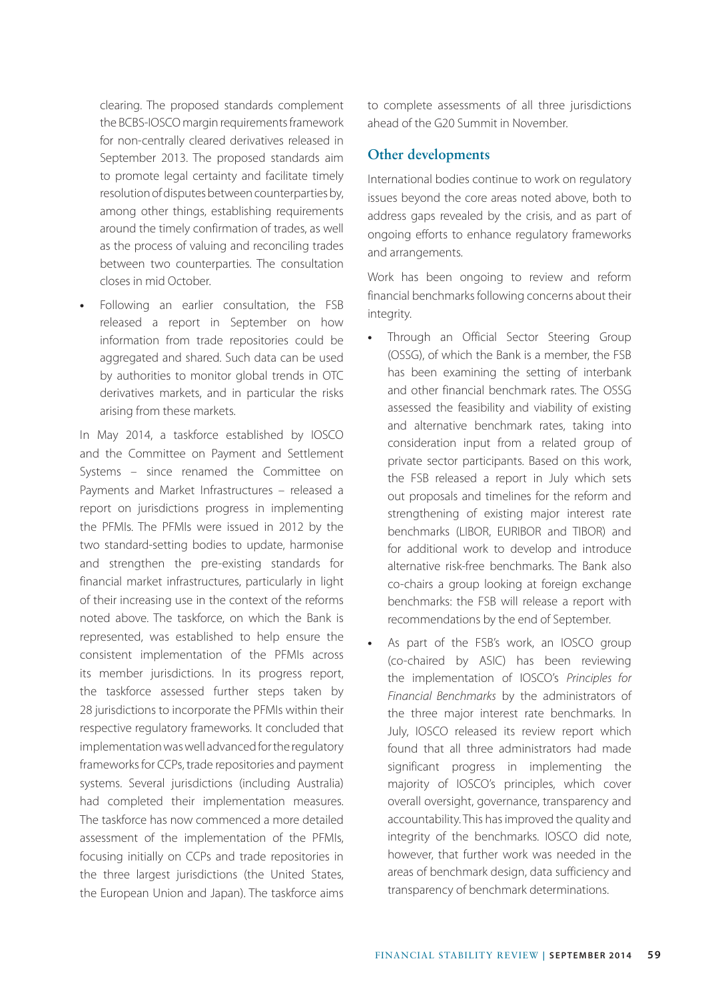clearing. The proposed standards complement the BCBS-IOSCO margin requirements framework for non-centrally cleared derivatives released in September 2013. The proposed standards aim to promote legal certainty and facilitate timely resolution of disputes between counterparties by, among other things, establishing requirements around the timely confirmation of trades, as well as the process of valuing and reconciling trades between two counterparties. The consultation closes in mid October.

**•** Following an earlier consultation, the FSB released a report in September on how information from trade repositories could be aggregated and shared. Such data can be used by authorities to monitor global trends in OTC derivatives markets, and in particular the risks arising from these markets.

In May 2014, a taskforce established by IOSCO and the Committee on Payment and Settlement Systems – since renamed the Committee on Payments and Market Infrastructures – released a report on jurisdictions progress in implementing the PFMIs. The PFMIs were issued in 2012 by the two standard-setting bodies to update, harmonise and strengthen the pre-existing standards for financial market infrastructures, particularly in light of their increasing use in the context of the reforms noted above. The taskforce, on which the Bank is represented, was established to help ensure the consistent implementation of the PFMIs across its member jurisdictions. In its progress report, the taskforce assessed further steps taken by 28 jurisdictions to incorporate the PFMIs within their respective regulatory frameworks. It concluded that implementation was well advanced for the regulatory frameworks for CCPs, trade repositories and payment systems. Several jurisdictions (including Australia) had completed their implementation measures. The taskforce has now commenced a more detailed assessment of the implementation of the PFMIs, focusing initially on CCPs and trade repositories in the three largest jurisdictions (the United States, the European Union and Japan). The taskforce aims to complete assessments of all three jurisdictions ahead of the G20 Summit in November.

#### **Other developments**

International bodies continue to work on regulatory issues beyond the core areas noted above, both to address gaps revealed by the crisis, and as part of ongoing efforts to enhance regulatory frameworks and arrangements.

Work has been ongoing to review and reform financial benchmarks following concerns about their integrity.

- **•** Through an Official Sector Steering Group (OSSG), of which the Bank is a member, the FSB has been examining the setting of interbank and other financial benchmark rates. The OSSG assessed the feasibility and viability of existing and alternative benchmark rates, taking into consideration input from a related group of private sector participants. Based on this work, the FSB released a report in July which sets out proposals and timelines for the reform and strengthening of existing major interest rate benchmarks (LIBOR, EURIBOR and TIBOR) and for additional work to develop and introduce alternative risk-free benchmarks. The Bank also co-chairs a group looking at foreign exchange benchmarks: the FSB will release a report with recommendations by the end of September.
- **•** As part of the FSB's work, an IOSCO group (co-chaired by ASIC) has been reviewing the implementation of IOSCO's *Principles for Financial Benchmarks* by the administrators of the three major interest rate benchmarks. In July, IOSCO released its review report which found that all three administrators had made significant progress in implementing the majority of IOSCO's principles, which cover overall oversight, governance, transparency and accountability. This has improved the quality and integrity of the benchmarks. IOSCO did note, however, that further work was needed in the areas of benchmark design, data sufficiency and transparency of benchmark determinations.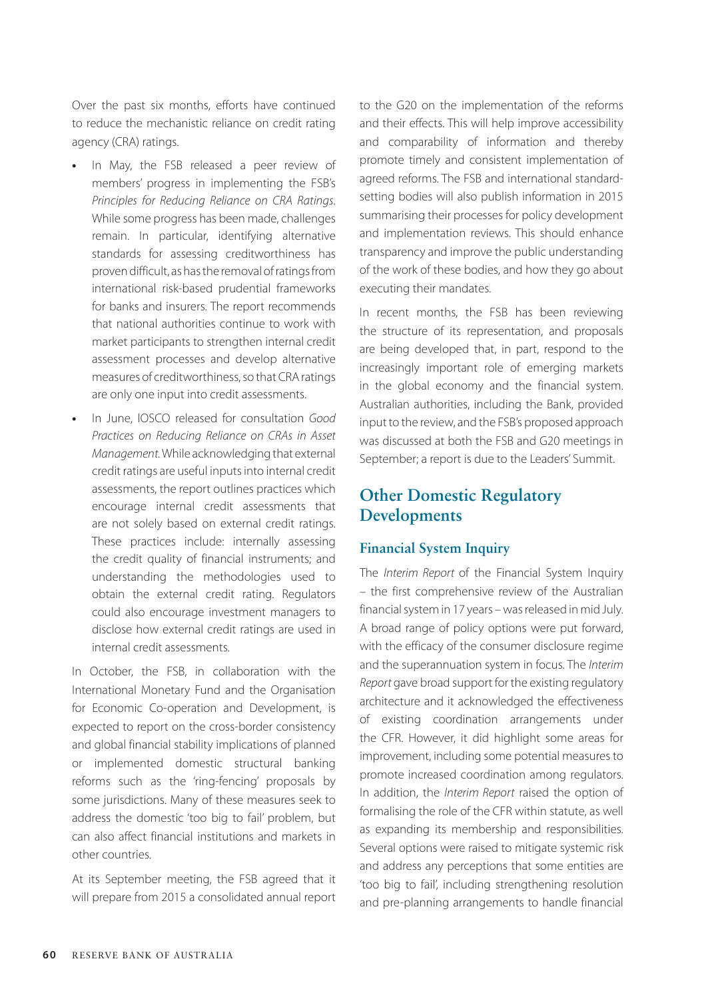Over the past six months, efforts have continued to reduce the mechanistic reliance on credit rating agency (CRA) ratings.

- **•** In May, the FSB released a peer review of members' progress in implementing the FSB's *Principles for Reducing Reliance on CRA Ratings*. While some progress has been made, challenges remain. In particular, identifying alternative standards for assessing creditworthiness has proven difficult, as has the removal of ratings from international risk-based prudential frameworks for banks and insurers. The report recommends that national authorities continue to work with market participants to strengthen internal credit assessment processes and develop alternative measures of creditworthiness, so that CRA ratings are only one input into credit assessments.
- **•** In June, IOSCO released for consultation *Good Practices on Reducing Reliance on CRAs in Asset Management.* While acknowledging that external credit ratings are useful inputs into internal credit assessments, the report outlines practices which encourage internal credit assessments that are not solely based on external credit ratings. These practices include: internally assessing the credit quality of financial instruments; and understanding the methodologies used to obtain the external credit rating. Regulators could also encourage investment managers to disclose how external credit ratings are used in internal credit assessments.

In October, the FSB, in collaboration with the International Monetary Fund and the Organisation for Economic Co-operation and Development, is expected to report on the cross-border consistency and global financial stability implications of planned or implemented domestic structural banking reforms such as the 'ring-fencing' proposals by some jurisdictions. Many of these measures seek to address the domestic 'too big to fail' problem, but can also affect financial institutions and markets in other countries.

At its September meeting, the FSB agreed that it will prepare from 2015 a consolidated annual report to the G20 on the implementation of the reforms and their effects. This will help improve accessibility and comparability of information and thereby promote timely and consistent implementation of agreed reforms. The FSB and international standardsetting bodies will also publish information in 2015 summarising their processes for policy development and implementation reviews. This should enhance transparency and improve the public understanding of the work of these bodies, and how they go about executing their mandates.

In recent months, the FSB has been reviewing the structure of its representation, and proposals are being developed that, in part, respond to the increasingly important role of emerging markets in the global economy and the financial system. Australian authorities, including the Bank, provided input to the review, and the FSB's proposed approach was discussed at both the FSB and G20 meetings in September; a report is due to the Leaders' Summit.

# **Other Domestic Regulatory Developments**

#### **Financial System Inquiry**

The *Interim Report* of the Financial System Inquiry – the first comprehensive review of the Australian financial system in 17 years – was released in mid July. A broad range of policy options were put forward, with the efficacy of the consumer disclosure regime and the superannuation system in focus. The *Interim Report* gave broad support for the existing regulatory architecture and it acknowledged the effectiveness of existing coordination arrangements under the CFR. However, it did highlight some areas for improvement, including some potential measures to promote increased coordination among regulators. In addition, the *Interim Report* raised the option of formalising the role of the CFR within statute, as well as expanding its membership and responsibilities. Several options were raised to mitigate systemic risk and address any perceptions that some entities are 'too big to fail', including strengthening resolution and pre-planning arrangements to handle financial